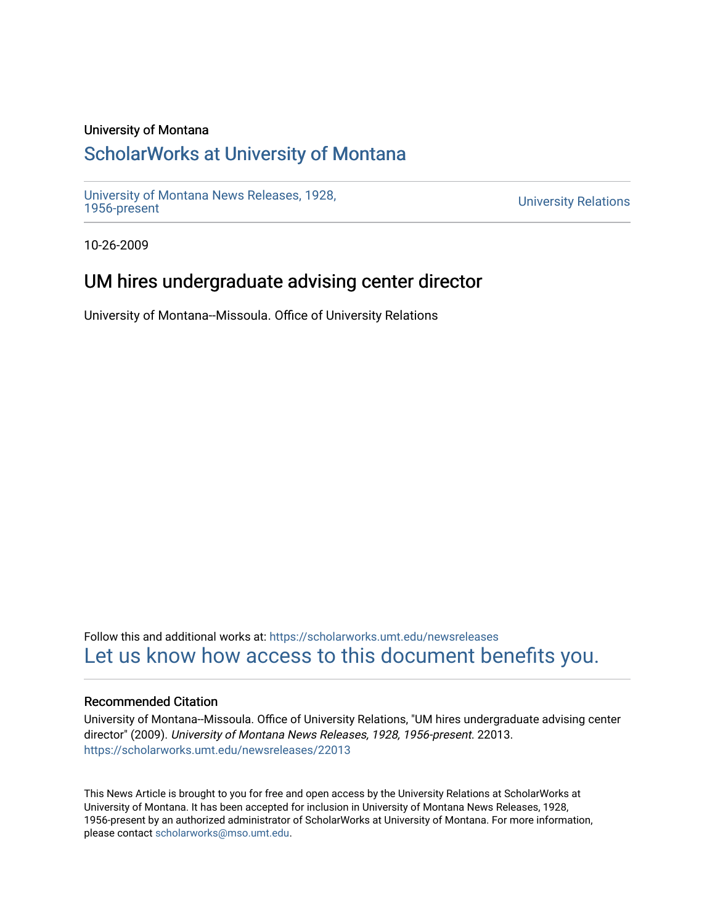### University of Montana

# [ScholarWorks at University of Montana](https://scholarworks.umt.edu/)

[University of Montana News Releases, 1928,](https://scholarworks.umt.edu/newsreleases) 

**University Relations** 

10-26-2009

## UM hires undergraduate advising center director

University of Montana--Missoula. Office of University Relations

Follow this and additional works at: [https://scholarworks.umt.edu/newsreleases](https://scholarworks.umt.edu/newsreleases?utm_source=scholarworks.umt.edu%2Fnewsreleases%2F22013&utm_medium=PDF&utm_campaign=PDFCoverPages) [Let us know how access to this document benefits you.](https://goo.gl/forms/s2rGfXOLzz71qgsB2) 

### Recommended Citation

University of Montana--Missoula. Office of University Relations, "UM hires undergraduate advising center director" (2009). University of Montana News Releases, 1928, 1956-present. 22013. [https://scholarworks.umt.edu/newsreleases/22013](https://scholarworks.umt.edu/newsreleases/22013?utm_source=scholarworks.umt.edu%2Fnewsreleases%2F22013&utm_medium=PDF&utm_campaign=PDFCoverPages) 

This News Article is brought to you for free and open access by the University Relations at ScholarWorks at University of Montana. It has been accepted for inclusion in University of Montana News Releases, 1928, 1956-present by an authorized administrator of ScholarWorks at University of Montana. For more information, please contact [scholarworks@mso.umt.edu.](mailto:scholarworks@mso.umt.edu)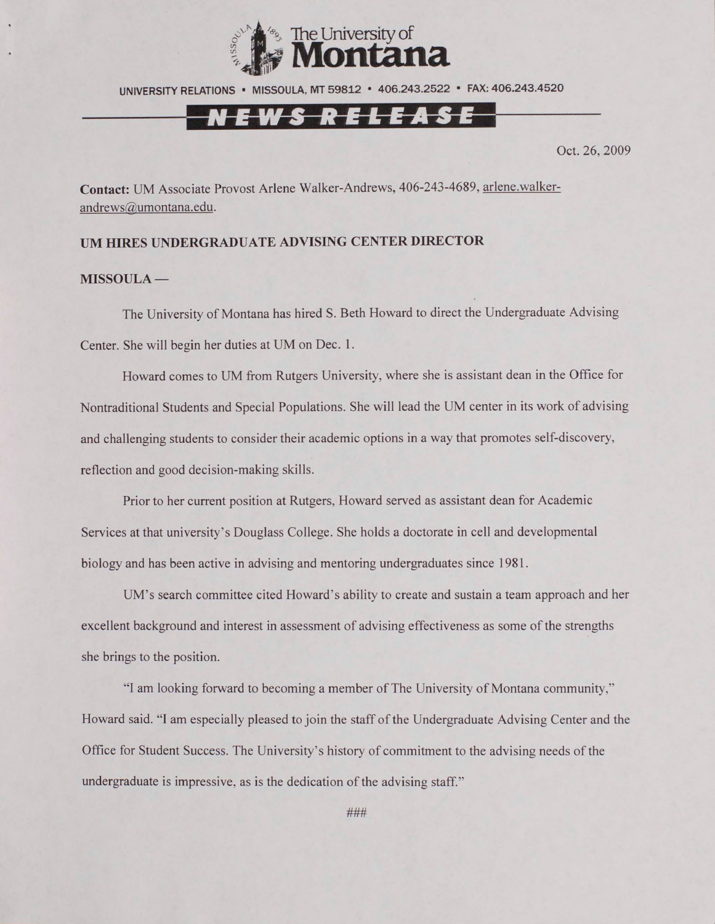

UNIVERSITY RELATIONS · MISSOULA. MT 59812 · 406.243.2522 · FAX: 406.243.4520

## N E W S R E L E A S E

Oct. 26, 2009

**Contact:** UM Associate Provost Arlene Walker-Andrews, 406-243-4689, [arlene.walker](mailto:arlene.walker-andrews@umontana.edu)[andrews@umontana.edu.](mailto:arlene.walker-andrews@umontana.edu)

#### **UM HIRES UNDERGRADUATE ADVISING CENTER DIRECTOR**

#### **MISSOULA —**

The University of Montana has hired S. Beth Howard to direct the Undergraduate Advising Center. She will begin her duties at UM on Dec. 1.

Howard comes to UM from Rutgers University, where she is assistant dean in the Office for Nontraditional Students and Special Populations. She will lead the UM center in its work of advising and challenging students to consider their academic options in a way that promotes self-discovery, reflection and good decision-making skills.

Prior to her current position at Rutgers, Howard served as assistant dean for Academic Services at that university's Douglass College. She holds a doctorate in cell and developmental biology and has been active in advising and mentoring undergraduates since 1981.

UM's search committee cited Howard's ability to create and sustain a team approach and her excellent background and interest in assessment of advising effectiveness as some of the strengths she brings to the position.

"1 am looking forward to becoming a member of The University of Montana community," Howard said. "I am especially pleased to join the staff of the Undergraduate Advising Center and the Office for Student Success. The University's history of commitment to the advising needs of the undergraduate is impressive, as is the dedication of the advising staff."